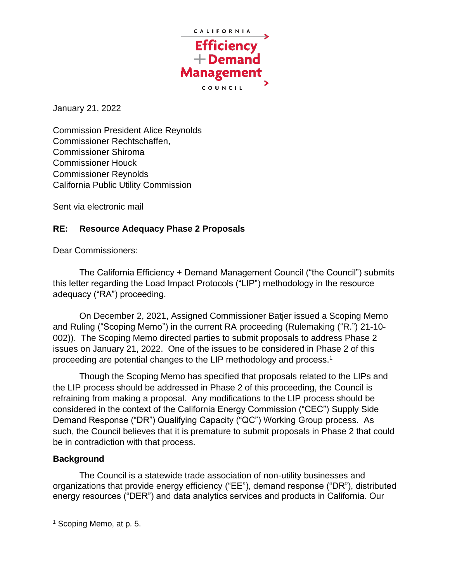

January 21, 2022

Commission President Alice Reynolds Commissioner Rechtschaffen, Commissioner Shiroma Commissioner Houck Commissioner Reynolds California Public Utility Commission

Sent via electronic mail

## **RE: Resource Adequacy Phase 2 Proposals**

Dear Commissioners:

The California Efficiency + Demand Management Council ("the Council") submits this letter regarding the Load Impact Protocols ("LIP") methodology in the resource adequacy ("RA") proceeding.

On December 2, 2021, Assigned Commissioner Batjer issued a Scoping Memo and Ruling ("Scoping Memo") in the current RA proceeding (Rulemaking ("R.") 21-10- 002)). The Scoping Memo directed parties to submit proposals to address Phase 2 issues on January 21, 2022. One of the issues to be considered in Phase 2 of this proceeding are potential changes to the LIP methodology and process.<sup>1</sup>

Though the Scoping Memo has specified that proposals related to the LIPs and the LIP process should be addressed in Phase 2 of this proceeding, the Council is refraining from making a proposal. Any modifications to the LIP process should be considered in the context of the California Energy Commission ("CEC") Supply Side Demand Response ("DR") Qualifying Capacity ("QC") Working Group process. As such, the Council believes that it is premature to submit proposals in Phase 2 that could be in contradiction with that process.

## **Background**

The Council is a statewide trade association of non-utility businesses and organizations that provide energy efficiency ("EE"), demand response ("DR"), distributed energy resources ("DER") and data analytics services and products in California. Our

<sup>&</sup>lt;sup>1</sup> Scoping Memo, at p. 5.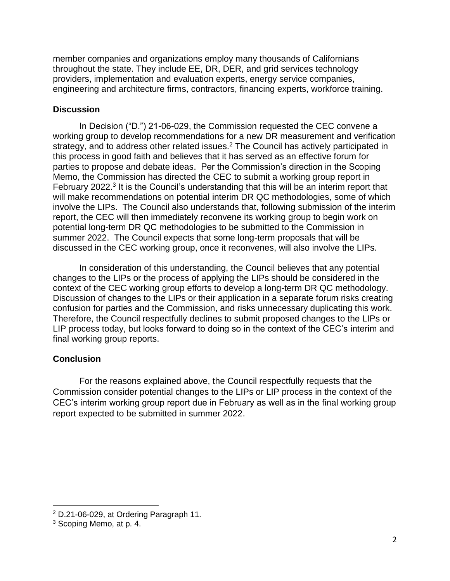member companies and organizations employ many thousands of Californians throughout the state. They include EE, DR, DER, and grid services technology providers, implementation and evaluation experts, energy service companies, engineering and architecture firms, contractors, financing experts, workforce training.

## **Discussion**

In Decision ("D.") 21-06-029, the Commission requested the CEC convene a working group to develop recommendations for a new DR measurement and verification strategy, and to address other related issues.<sup>2</sup> The Council has actively participated in this process in good faith and believes that it has served as an effective forum for parties to propose and debate ideas. Per the Commission's direction in the Scoping Memo, the Commission has directed the CEC to submit a working group report in February 2022.<sup>3</sup> It is the Council's understanding that this will be an interim report that will make recommendations on potential interim DR QC methodologies, some of which involve the LIPs. The Council also understands that, following submission of the interim report, the CEC will then immediately reconvene its working group to begin work on potential long-term DR QC methodologies to be submitted to the Commission in summer 2022. The Council expects that some long-term proposals that will be discussed in the CEC working group, once it reconvenes, will also involve the LIPs.

In consideration of this understanding, the Council believes that any potential changes to the LIPs or the process of applying the LIPs should be considered in the context of the CEC working group efforts to develop a long-term DR QC methodology. Discussion of changes to the LIPs or their application in a separate forum risks creating confusion for parties and the Commission, and risks unnecessary duplicating this work. Therefore, the Council respectfully declines to submit proposed changes to the LIPs or LIP process today, but looks forward to doing so in the context of the CEC's interim and final working group reports.

## **Conclusion**

For the reasons explained above, the Council respectfully requests that the Commission consider potential changes to the LIPs or LIP process in the context of the CEC's interim working group report due in February as well as in the final working group report expected to be submitted in summer 2022.

<sup>2</sup> D.21-06-029, at Ordering Paragraph 11.

<sup>3</sup> Scoping Memo, at p. 4.